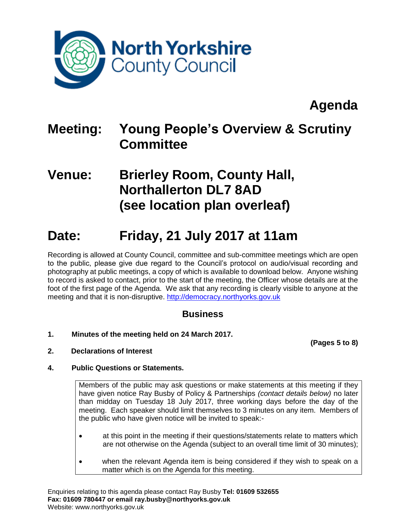

# **Agenda**

## **Meeting: Young People's Overview & Scrutiny Committee**

### **Venue: Brierley Room, County Hall, Northallerton DL7 8AD (see location plan overleaf)**

## **Date: Friday, 21 July 2017 at 11am**

Recording is allowed at County Council, committee and sub-committee meetings which are open to the public, please give due regard to the Council's protocol on audio/visual recording and photography at public meetings, a copy of which is available to download below. Anyone wishing to record is asked to contact, prior to the start of the meeting, the Officer whose details are at the foot of the first page of the Agenda. We ask that any recording is clearly visible to anyone at the meeting and that it is non-disruptive. [http://democracy.northyorks.gov.uk](http://democracy.northyorks.gov.uk/)

### **Business**

**1. Minutes of the meeting held on 24 March 2017.**

**(Pages 5 to 8)**

**2. Declarations of Interest**

### **4. Public Questions or Statements.**

Members of the public may ask questions or make statements at this meeting if they have given notice Ray Busby of Policy & Partnerships *(contact details below)* no later than midday on Tuesday 18 July 2017, three working days before the day of the meeting. Each speaker should limit themselves to 3 minutes on any item. Members of the public who have given notice will be invited to speak:-

- at this point in the meeting if their questions/statements relate to matters which are not otherwise on the Agenda (subject to an overall time limit of 30 minutes);
- when the relevant Agenda item is being considered if they wish to speak on a matter which is on the Agenda for this meeting.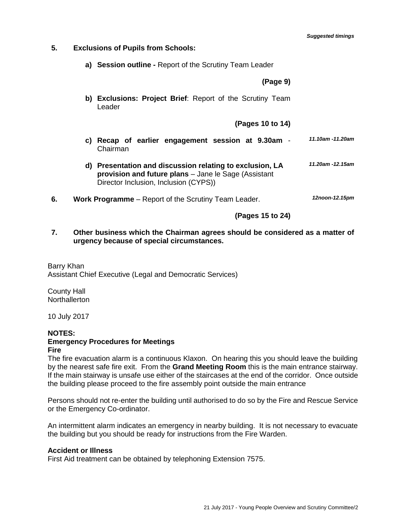- **5. Exclusions of Pupils from Schools:** 
	- **a) Session outline -** Report of the Scrutiny Team Leader

**(Page 9)**

**b) Exclusions: Project Brief**: Report of the Scrutiny Team Leader

#### **(Pages 10 to 14)**

- **c) Recap of earlier engagement session at 9.30am** Chairman *11.10am -11.20am*
- **d) Presentation and discussion relating to exclusion, LA provision and future plans** – Jane le Sage (Assistant Director Inclusion, Inclusion (CYPS)) *11.20am -12.15am*
- **6. Work Programme** Report of the Scrutiny Team Leader. *12noon-12.15pm*

**(Pages 15 to 24)**

**7. Other business which the Chairman agrees should be considered as a matter of urgency because of special circumstances.**

Barry Khan Assistant Chief Executive (Legal and Democratic Services)

County Hall **Northallerton** 

10 July 2017

### **NOTES: Emergency Procedures for Meetings**

**Fire**

The fire evacuation alarm is a continuous Klaxon. On hearing this you should leave the building by the nearest safe fire exit. From the **Grand Meeting Room** this is the main entrance stairway. If the main stairway is unsafe use either of the staircases at the end of the corridor. Once outside the building please proceed to the fire assembly point outside the main entrance

Persons should not re-enter the building until authorised to do so by the Fire and Rescue Service or the Emergency Co-ordinator.

An intermittent alarm indicates an emergency in nearby building. It is not necessary to evacuate the building but you should be ready for instructions from the Fire Warden.

#### **Accident or Illness**

First Aid treatment can be obtained by telephoning Extension 7575.